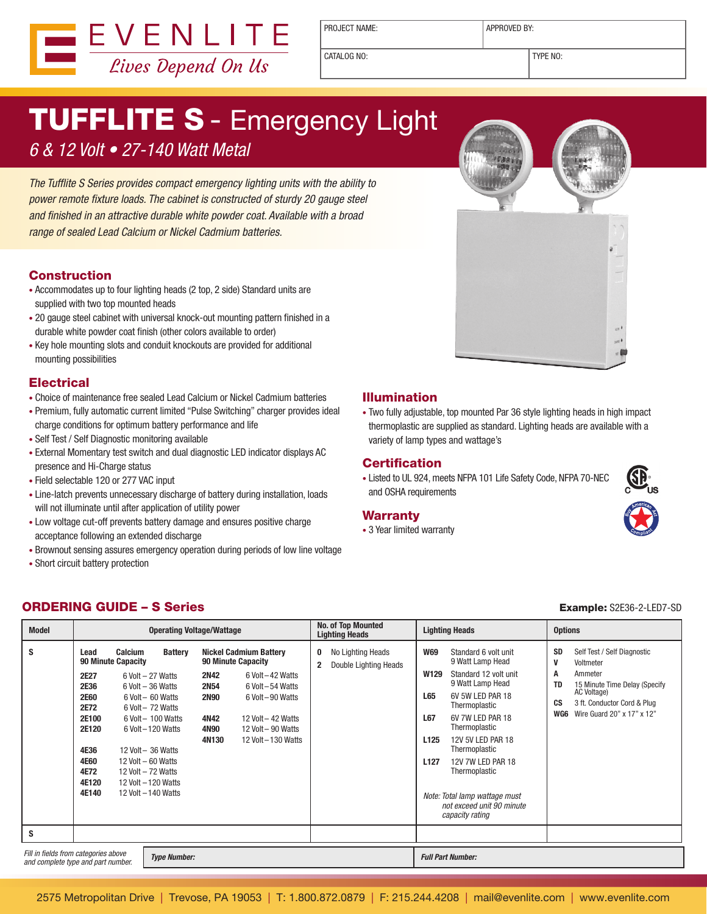

PROJECT NAME:  $\vert$  APPROVED BY:

CATALOG NO: TYPE NO:

# **TUFFLITE S** - Emergency Light

### 6 & 12 Volt • 27-140 Watt Metal

The Tufflite S Series provides compact emergency lighting units with the ability to power remote fixture loads. The cabinet is constructed of sturdy 20 gauge steel and finished in an attractive durable white powder coat. Available with a broad range of sealed Lead Calcium or Nickel Cadmium batteries.

#### Construction

- Accommodates up to four lighting heads (2 top, 2 side) Standard units are supplied with two top mounted heads
- 20 gauge steel cabinet with universal knock-out mounting pattern finished in a durable white powder coat finish (other colors available to order)
- Key hole mounting slots and conduit knockouts are provided for additional mounting possibilities

#### **Electrical**

- Choice of maintenance free sealed Lead Calcium or Nickel Cadmium batteries
- Premium, fully automatic current limited "Pulse Switching" charger provides ideal charge conditions for optimum battery performance and life
- Self Test / Self Diagnostic monitoring available
- External Momentary test switch and dual diagnostic LED indicator displays AC presence and Hi-Charge status
- Field selectable 120 or 277 VAC input
- Line-latch prevents unnecessary discharge of battery during installation, loads will not illuminate until after application of utility power
- Low voltage cut-off prevents battery damage and ensures positive charge acceptance following an extended discharge
- Brownout sensing assures emergency operation during periods of low line voltage
- Short circuit battery protection

#### Illumination

• Two fully adjustable, top mounted Par 36 style lighting heads in high impact thermoplastic are supplied as standard. Lighting heads are available with a variety of lamp types and wattage's

#### **Certification**

• Listed to UL 924, meets NFPA 101 Life Safety Code, NFPA 70-NEC and OSHA requirements

#### Warranty

• 3 Year limited warranty



#### **ORDERING GUIDE – S Series Example: S2E36-2-LED7-SD** Example: S2E36-2-LED7-SD

| <b>Model</b>                                                                                      | <b>Operating Voltage/Wattage</b>                                                                               |                                                                                                                                                                                                                                                                                                                   |                                                                                                                                                                                                                                                                  | No. of Top Mounted<br><b>Lighting Heads</b>                       | <b>Lighting Heads</b>                                                                                                                                                                                                                                                                                                                                                                                    | <b>Options</b>                                                                                                                                                                                                    |
|---------------------------------------------------------------------------------------------------|----------------------------------------------------------------------------------------------------------------|-------------------------------------------------------------------------------------------------------------------------------------------------------------------------------------------------------------------------------------------------------------------------------------------------------------------|------------------------------------------------------------------------------------------------------------------------------------------------------------------------------------------------------------------------------------------------------------------|-------------------------------------------------------------------|----------------------------------------------------------------------------------------------------------------------------------------------------------------------------------------------------------------------------------------------------------------------------------------------------------------------------------------------------------------------------------------------------------|-------------------------------------------------------------------------------------------------------------------------------------------------------------------------------------------------------------------|
| S                                                                                                 | Lead<br>2E27<br>2E36<br><b>2E60</b><br>2E72<br>2E100<br>2E120<br>4E36<br><b>4E60</b><br>4E72<br>4E120<br>4E140 | <b>Calcium</b><br><b>Battery</b><br><b>90 Minute Capacity</b><br>6 Volt - 27 Watts<br>$6$ Volt $-36$ Watts<br>6 Volt - 60 Watts<br>6 Volt - 72 Watts<br>6 Volt - 100 Watts<br>6 Volt - 120 Watts<br>12 Volt - 36 Watts<br>12 Volt $-60$ Watts<br>12 Volt - 72 Watts<br>12 Volt - 120 Watts<br>12 Volt - 140 Watts | <b>Nickel Cadmium Battery</b><br><b>90 Minute Capacity</b><br>6 Volt - 42 Watts<br><b>2N42</b><br><b>2N54</b><br>6 Volt - 54 Watts<br><b>2N90</b><br>6 Volt-90 Watts<br>12 Volt - 42 Watts<br>4N42<br>12 Volt - 90 Watts<br>4N90<br>12 Volt - 130 Watts<br>4N130 | No Lighting Heads<br>0<br>Double Lighting Heads<br>$\overline{2}$ | <b>W69</b><br>Standard 6 volt unit<br>9 Watt Lamp Head<br>Standard 12 volt unit<br>W129<br>9 Watt Lamp Head<br>6V 5W LED PAR 18<br>L65<br>Thermoplastic<br>L67<br>6V 7W LED PAR 18<br>Thermoplastic<br>12V 5V LED PAR 18<br>L <sub>125</sub><br>Thermoplastic<br>L <sub>127</sub><br>12V 7W LED PAR 18<br>Thermoplastic<br>Note: Total lamp wattage must<br>not exceed unit 90 minute<br>capacity rating | <b>SD</b><br>Self Test / Self Diagnostic<br>V<br>Voltmeter<br>A<br>Ammeter<br><b>TD</b><br>15 Minute Time Delay (Specify<br>AC Voltage)<br>CS<br>3 ft. Conductor Cord & Plug<br>Wire Guard 20" x 17" x 12"<br>WG6 |
| S                                                                                                 |                                                                                                                |                                                                                                                                                                                                                                                                                                                   |                                                                                                                                                                                                                                                                  |                                                                   |                                                                                                                                                                                                                                                                                                                                                                                                          |                                                                                                                                                                                                                   |
| Fill in fields from categories above<br><b>Type Number:</b><br>and complete type and part number. |                                                                                                                |                                                                                                                                                                                                                                                                                                                   |                                                                                                                                                                                                                                                                  |                                                                   | <b>Full Part Number:</b>                                                                                                                                                                                                                                                                                                                                                                                 |                                                                                                                                                                                                                   |